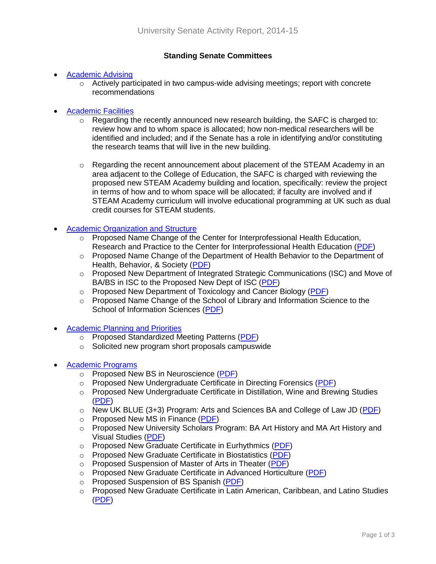# **Standing Senate Committees**

# • [Academic Advising](http://www.uky.edu/Faculty/Senate/committees_councils/standing_committees/academic_advising.htm)

 $\circ$  Actively participated in two campus-wide advising meetings; report with concrete recommendations

### [Academic Facilities](http://www.uky.edu/Faculty/Senate/committees_councils/standing_committees/academic_facilities.htm)

- $\circ$  Regarding the recently announced new research building, the SAFC is charged to: review how and to whom space is allocated; how non-medical researchers will be identified and included; and if the Senate has a role in identifying and/or constituting the research teams that will live in the new building.
- $\circ$  Regarding the recent announcement about placement of the STEAM Academy in an area adjacent to the College of Education, the SAFC is charged with reviewing the proposed new STEAM Academy building and location, specifically: review the project in terms of how and to whom space will be allocated; if faculty are involved and if STEAM Academy curriculum will involve educational programming at UK such as dual credit courses for STEAM students.

### **[Academic Organization and Structure](http://www.uky.edu/Faculty/Senate/committees_councils/standing_committees/academic_organization_structure.htm)**

- $\circ$  Proposed Name Change of the Center for Interprofessional Health Education, Research and Practice to the Center for Interprofessional Health Education [\(PDF\)](http://www.uky.edu/Faculty/Senate/curricular_proposals/files/2014-2015/Name%20Change%20Ctr%20Intrprof%20Health%20Ed%20Research%20&%20Practc%20to%20CIHE.pdf)
- $\circ$  Proposed Name Change of the Department of Health Behavior to the Department of Health, Behavior, & Society [\(PDF\)](http://www.uky.edu/Faculty/Senate/curricular_proposals/files/2014-2015/Dept%20Name%20Change%20Health%20Behavior_Complete.pdf)
- o Proposed New Department of Integrated Strategic Communications (ISC) and Move of BA/BS in ISC to the Proposed New Dept of ISC [\(PDF\)](http://www.uky.edu/Faculty/Senate/curricular_proposals/files/2014-2015/Proposed%20New%20Dept%20of%20ISC%20%28and%20degree%20move%29.pdf)
- o Proposed New Department of Toxicology and Cancer Biology [\(PDF\)](http://www.uky.edu/Faculty/Senate/curricular_proposals/files/2014-2015/Prop%20New%20Dept%20Toxicology%20&%20Cancer%20Biology_rev.pdf)
- $\circ$  Proposed Name Change of the School of Library and Information Science to the School of Information Sciences [\(PDF\)](http://www.uky.edu/Faculty/Senate/curricular_proposals/files/2014-2015/Name%20Change%20School%20of%20Library%20&%20Info%20Science_2-13-15.pdf)
- [Academic Planning and Priorities](http://www.uky.edu/Faculty/Senate/committees_councils/standing_committees/academic_planning_priorities.htm)
	- o Proposed Standardized Meeting Patterns [\(PDF\)](http://www.uky.edu/Faculty/Senate/curricular_proposals/files/2014-2015/Standardized%20Meeting%20Patterns.pdf)
	- o Solicited new program short proposals campuswide
- [Academic Programs](http://www.uky.edu/Faculty/Senate/committees_councils/standing_committees/academic_programs.htm)
	- o Proposed New BS in Neuroscience [\(PDF\)](http://www.uky.edu/Faculty/Senate/curricular_proposals/files/2014-2015/Neuroscience%20BS-new_revised.pdf)
	- o Proposed New Undergraduate Certificate in Directing Forensics [\(PDF\)](http://www.uky.edu/Faculty/Senate/curricular_proposals/files/2014-2015/Directing%20Forensics%20UG%20Certificate-new%20%28Final%20revised%29.pdf)
	- o Proposed New Undergraduate Certificate in Distillation, Wine and Brewing Studies [\(PDF\)](http://www.uky.edu/Faculty/Senate/curricular_proposals/files/2014-2015/Distillation%20Wine%20and%20Brewing%20Studies%20UG%20Certificate-new%20%28Revised%203-31-15%20v2%29.pdf)
	- $\circ$  New UK BLUE (3+3) Program: Arts and Sciences BA and College of Law JD [\(PDF\)](http://www.uky.edu/Faculty/Senate/curricular_proposals/files/2014-2015/UK%20BLUE%20%28Law%203+3%29%20program-new%20%28revised%29_rev.pdf)
	- o Proposed New MS in Finance [\(PDF\)](http://www.uky.edu/Faculty/Senate/curricular_proposals/files/2014-2015/FIN%20MS%20Program-signed.pdf)
	- o Proposed New University Scholars Program: BA Art History and MA Art History and Visual Studies [\(PDF\)](http://www.uky.edu/Faculty/Senate/curricular_proposals/files/2014-2015/MA%20Art%20History%20Scholars%20Program.pdf)
	- o Proposed New Graduate Certificate in Eurhythmics [\(PDF\)](http://www.uky.edu/Faculty/Senate/curricular_proposals/files/2014-2015/Graduate%20Certificate%20in%20Eurhythmics.pdf)
	- o Proposed New Graduate Certificate in Biostatistics [\(PDF\)](http://www.uky.edu/Faculty/Senate/curricular_proposals/files/2014-2015/Graduate%20Certificate%20in%20Biostatistics.pdf)
	- o Proposed Suspension of Master of Arts in Theater [\(PDF\)](http://www.uky.edu/Faculty/Senate/curricular_proposals/files/2014-2015/Suspension%20of%20MA%20in%20TA.pdf)
	- o Proposed New Graduate Certificate in Advanced Horticulture [\(PDF\)](http://www.uky.edu/Faculty/Senate/curricular_proposals/files/2014-2015/Grad%20Cert%20Adv%20Horticulture_Complete.pdf)
	- o Proposed Suspension of BS Spanish [\(PDF\)](http://www.uky.edu/Faculty/Senate/curricular_proposals/files/2014-2015/Spanish%20BS-Suspension.pdf)
	- o Proposed New Graduate Certificate in Latin American, Caribbean, and Latino Studies [\(PDF\)](http://www.uky.edu/Faculty/Senate/curricular_proposals/files/2014-2015/Graduate%20Certificate%20Latin,%20Caribbean%20and%20Latino%20Studies.pdf)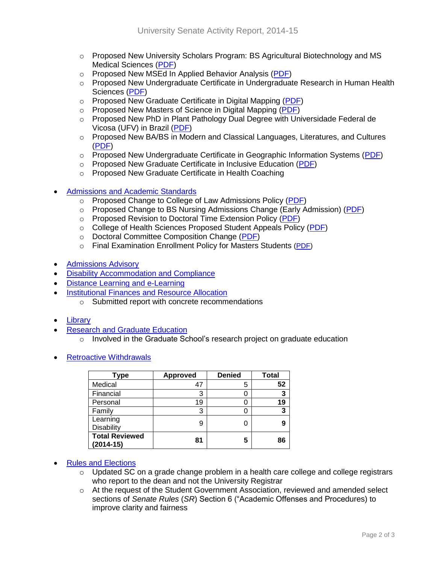- o Proposed New University Scholars Program: BS Agricultural Biotechnology and MS Medical Sciences [\(PDF\)](http://www.uky.edu/Faculty/Senate/curricular_proposals/files/2014-2015/ABT-MSMS%20University%20Scholars_rev.pdf)
- o Proposed New MSEd In Applied Behavior Analysis [\(PDF\)](http://www.uky.edu/Faculty/Senate/curricular_proposals/files/2014-2015/MSEd%20in%20ABA-signed.pdf)
- o Proposed New Undergraduate Certificate in Undergraduate Research in Human Health Sciences [\(PDF\)](http://www.uky.edu/Faculty/Senate/curricular_proposals/files/2014-2015/Research%20in%20Health%20Sciences%20UG%20Certificate%20%28CIP%29.pdf)
- o Proposed New Graduate Certificate in Digital Mapping [\(PDF\)](http://www.uky.edu/Faculty/Senate/curricular_proposals/files/2014-2015/Graduate%20Certificate%20Digital%20Mapping.pdf)
- o Proposed New Masters of Science in Digital Mapping [\(PDF\)](http://www.uky.edu/Faculty/Senate/curricular_proposals/files/2014-2015/MS%20Digital%20Mapping.pdf)
- o Proposed New PhD in Plant Pathology Dual Degree with Universidade Federal de Vicosa (UFV) in Brazil [\(PDF\)](http://www.uky.edu/Faculty/Senate/curricular_proposals/files/2014-2015/Dual%20Degree%20UK%20Plant%20Pathology%20Brazil.pdf)
- o Proposed New BA/BS in Modern and Classical Languages, Literatures, and Cultures [\(PDF\)](http://www.uky.edu/Faculty/Senate/curricular_proposals/files/2014-2015/BA-BS%20Mdrn%20&%20Clsscl%20Langs,%20Lits,%20and%20Cultrs_Complete1.pdf)
- $\circ$  Proposed New Undergraduate Certificate in Geographic Information Systems [\(PDF\)](http://www.uky.edu/Faculty/Senate/curricular_proposals/files/2014-2015/Geographic%20Information%20Systems%20GIS.pdf)
- o Proposed New Graduate Certificate in Inclusive Education [\(PDF\)](http://www.uky.edu/Faculty/Senate/curricular_proposals/files/2014-2015/Graduate%20Certificate%20in%20Inclusive%20Education-signed.pdf)
- o Proposed New Graduate Certificate in Health Coaching
- [Admissions and Academic Standards](http://www.uky.edu/Faculty/Senate/committees_councils/standing_committees/admissions_academic_standards.htm)
	- o Proposed Change to College of Law Admissions Policy [\(PDF\)](http://www.uky.edu/Faculty/Senate/curricular_proposals/files/2014-2015/Admissions%20Policy%20BA-JD%20proposal.pdf)
	- $\circ$  Proposed Change to BS Nursing Admissions Change (Early Admission) [\(PDF\)](http://www.uky.edu/Faculty/Senate/curricular_proposals/files/2014-2015/BSN%20Program-change%20%28spring%202015%29.pdf)
	- o Proposed Revision to Doctoral Time Extension Policy [\(PDF\)](http://www.uky.edu/Faculty/Senate/curricular_proposals/files/2014-2015/DoctoralTimeExtension-Policy-0924.pdf)
	- o College of Health Sciences Proposed Student Appeals Policy [\(PDF\)](http://www.uky.edu/Faculty/Senate/curricular_proposals/files/2014-2015/CHS%20Student%20Appeals%20Process.pdf)
	- o Doctoral Committee Composition Change [\(PDF\)](http://www.uky.edu/Faculty/Senate/curricular_proposals/files/2014-2015/Change%20in%20Doctoral%20Committee%20Composition.pdf)
	- o Final Examination Enrollment Policy for Masters Students [\(PDF\)](http://www.uky.edu/Faculty/Senate/curricular_proposals/files/2014-2015/Change%20in%20master%27s%20final%20examination%20enrollment.pdf)
- **•** [Admissions Advisory](http://www.uky.edu/Faculty/Senate/committees_councils/standing_committees/admissions_advisory.htm)
- [Disability Accommodation and Compliance](http://www.uky.edu/Faculty/Senate/committees_councils/standing_committees/disability_accommod_compliance.htm)
- [Distance Learning and e-Learning](http://www.uky.edu/Faculty/Senate/committees_councils/standing_committees/e-Learning.htm)
- **[Institutional Finances and Resource Allocation](http://www.uky.edu/Faculty/Senate/committees_councils/standing_committees/institutional_finances_resource_allocation.htm)** 
	- o Submitted report with concrete recommendations
- [Library](http://www.uky.edu/Faculty/Senate/committees_councils/standing_committees/library.htm)
- [Research and Graduate Education](http://www.uky.edu/Faculty/Senate/committees_councils/standing_committees/research.htm)
	- $\circ$  Involved in the Graduate School's research project on graduate education
- [Retroactive Withdrawals](http://www.uky.edu/Faculty/Senate/committees_councils/standing_committees/retroactive_withdrawals.htm)

| Type                                 | <b>Approved</b> | <b>Denied</b> | <b>Total</b> |
|--------------------------------------|-----------------|---------------|--------------|
| Medical                              | 47              | 5             | 52           |
| Financial                            | 3               |               | 3            |
| Personal                             | 19              |               | 19           |
| Family                               | 3               |               | 3            |
| Learning<br><b>Disability</b>        | 9               |               | 9            |
| <b>Total Reviewed</b><br>$(2014-15)$ | 81              | 5             | 86           |

#### • [Rules and Elections](http://www.uky.edu/Faculty/Senate/committees_councils/standing_committees/rules_elections.htm)

- $\circ$  Updated SC on a grade change problem in a health care college and college registrars who report to the dean and not the University Registrar
- $\circ$  At the request of the Student Government Association, reviewed and amended select sections of *Senate Rules* (*SR*) Section 6 ("Academic Offenses and Procedures) to improve clarity and fairness